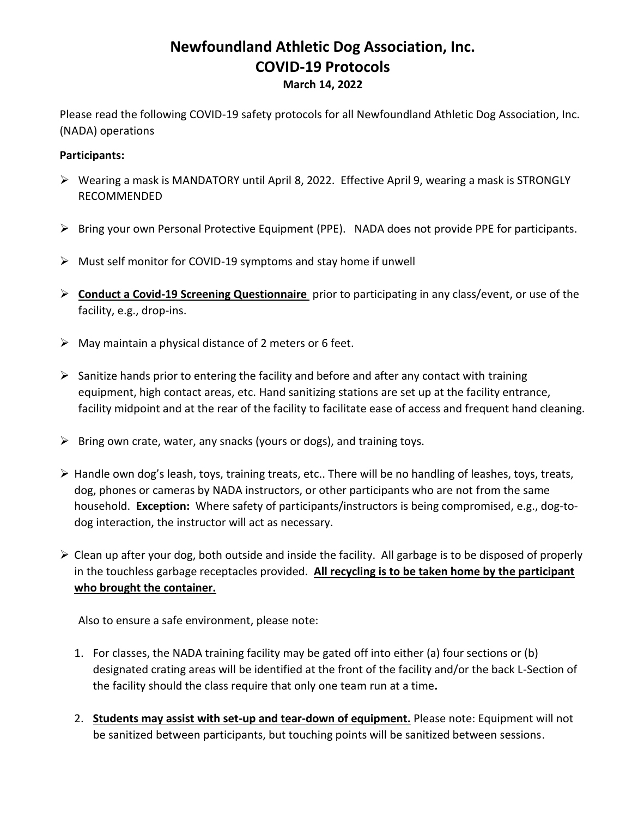## **Newfoundland Athletic Dog Association, Inc. COVID-19 Protocols March 14, 2022**

Please read the following COVID-19 safety protocols for all Newfoundland Athletic Dog Association, Inc. (NADA) operations

## **Participants:**

- Wearing a mask is MANDATORY until April 8, 2022. Effective April 9, wearing a mask is STRONGLY RECOMMENDED
- Bring your own Personal Protective Equipment (PPE). NADA does not provide PPE for participants.
- $\triangleright$  Must self monitor for COVID-19 symptoms and stay home if unwell
- **Conduct a Covid-19 Screening Questionnaire** prior to participating in any class/event, or use of the facility, e.g., drop-ins.
- $\triangleright$  May maintain a physical distance of 2 meters or 6 feet.
- $\triangleright$  Sanitize hands prior to entering the facility and before and after any contact with training equipment, high contact areas, etc. Hand sanitizing stations are set up at the facility entrance, facility midpoint and at the rear of the facility to facilitate ease of access and frequent hand cleaning.
- $\triangleright$  Bring own crate, water, any snacks (yours or dogs), and training toys.
- $\triangleright$  Handle own dog's leash, toys, training treats, etc.. There will be no handling of leashes, toys, treats, dog, phones or cameras by NADA instructors, or other participants who are not from the same household. **Exception:** Where safety of participants/instructors is being compromised, e.g., dog-todog interaction, the instructor will act as necessary.
- $\triangleright$  Clean up after your dog, both outside and inside the facility. All garbage is to be disposed of properly in the touchless garbage receptacles provided. **All recycling is to be taken home by the participant who brought the container.**

Also to ensure a safe environment, please note:

- 1. For classes, the NADA training facility may be gated off into either (a) four sections or (b) designated crating areas will be identified at the front of the facility and/or the back L-Section of the facility should the class require that only one team run at a time**.**
- 2. **Students may assist with set-up and tear-down of equipment.** Please note: Equipment will not be sanitized between participants, but touching points will be sanitized between sessions.